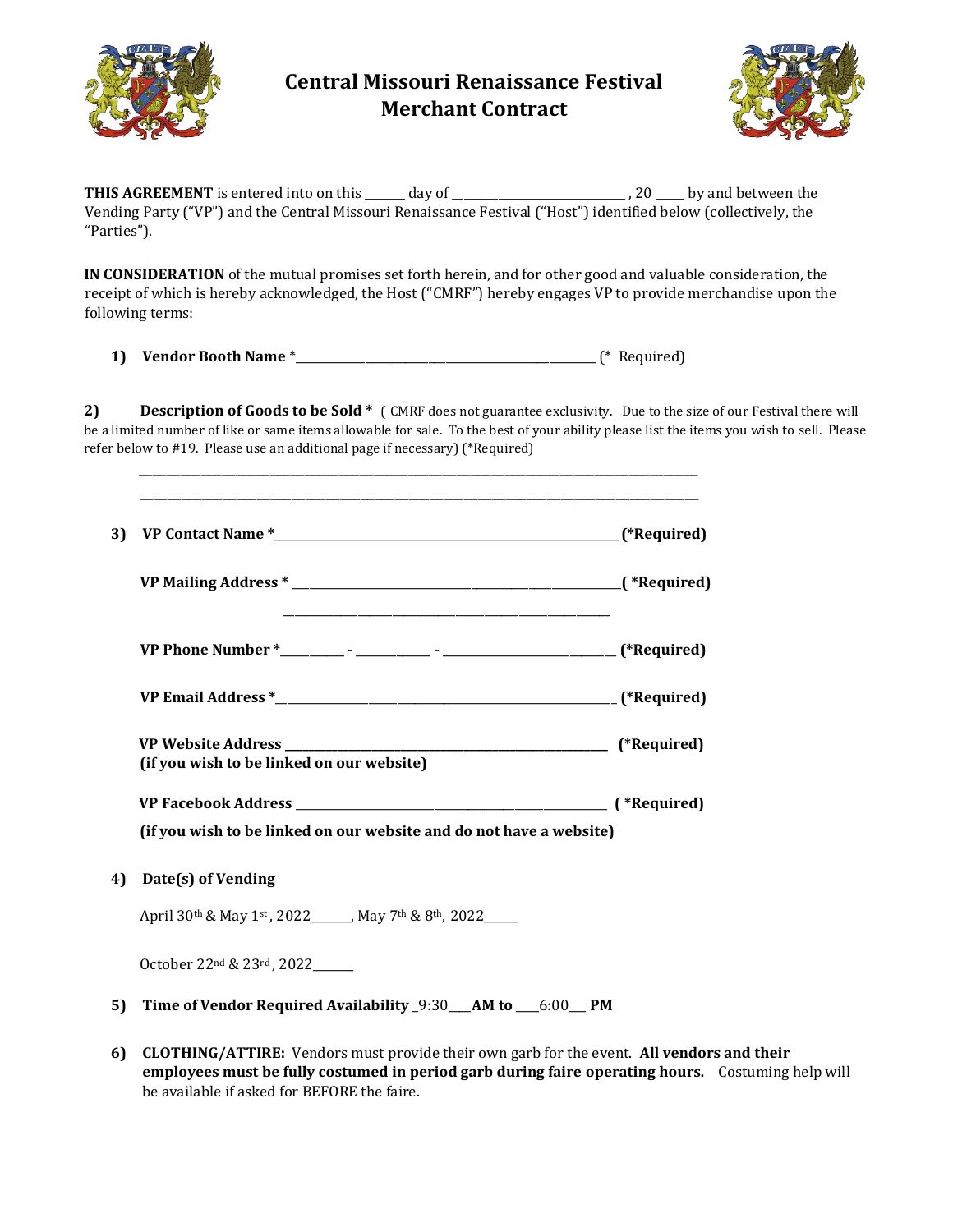

## **Central Missouri Renaissance Festival Merchant Contract**



**THIS AGREEMENT** is entered into on this \_\_\_\_\_\_\_ day of \_\_\_\_\_\_\_\_\_\_\_\_\_\_\_\_\_\_\_\_\_\_\_\_\_\_\_\_\_\_ , 20 \_\_\_\_\_ by and between the Vending Party ("VP") and the Central Missouri Renaissance Festival ("Host") identified below (collectively, the "Parties").

**IN CONSIDERATION** of the mutual promises set forth herein, and for other good and valuable consideration, the receipt of which is hereby acknowledged, the Host ("CMRF") hereby engages VP to provide merchandise upon the following terms:

**1) Vendor Booth Name** \*\_\_\_\_\_\_\_\_\_\_\_\_\_\_\_\_\_\_\_\_\_\_\_\_\_\_\_\_\_\_\_\_\_\_\_\_\_\_\_\_\_\_\_\_\_\_\_\_\_\_\_\_ (\* Required)

\_\_\_\_\_\_\_\_\_\_\_\_\_\_\_\_\_\_\_\_\_\_\_\_\_\_\_\_\_\_\_\_\_\_\_\_\_\_\_\_\_\_\_\_\_\_\_\_\_\_\_\_\_\_\_\_\_\_\_\_\_\_\_\_\_\_\_\_\_\_\_\_\_\_\_\_\_\_\_\_\_ \_\_\_\_\_\_\_\_\_\_\_\_\_\_\_\_\_\_\_\_\_\_\_\_\_\_\_\_\_\_\_\_\_\_\_\_\_\_\_\_\_\_\_\_\_\_\_\_\_\_\_\_\_\_\_\_\_\_\_\_\_\_\_\_\_\_\_\_\_\_\_\_\_\_\_\_\_\_\_\_\_

**2) Description of Goods to be Sold \*** ( CMRF does not guarantee exclusivity. Due to the size of our Festival there will be a limited number of like or same items allowable for sale. To the best of your ability please list the items you wish to sell. Please refer below to #19. Please use an additional page if necessary) (\*Required)

|    |                                                                                                                                               | (*Required) |
|----|-----------------------------------------------------------------------------------------------------------------------------------------------|-------------|
|    |                                                                                                                                               |             |
|    |                                                                                                                                               |             |
|    |                                                                                                                                               |             |
|    | (if you wish to be linked on our website)                                                                                                     |             |
|    | (if you wish to be linked on our website and do not have a website)                                                                           |             |
| 4) | Date(s) of Vending<br>April 30 <sup>th</sup> & May 1 <sup>st</sup> , 2022 <sub>_____</sub> , May 7 <sup>th</sup> & 8 <sup>th</sup> , 2022____ |             |
|    | October 22 <sup>nd</sup> & 23 <sup>rd</sup> , 2022_____                                                                                       |             |
| 5) | Time of Vendor Required Availability _9:30 ___ AM to ___6:00 __ PM                                                                            |             |

**6) CLOTHING/ATTIRE:** Vendors must provide their own garb for the event. **All vendors and their employees must be fully costumed in period garb during faire operating hours.** Costuming help will be available if asked for BEFORE the faire.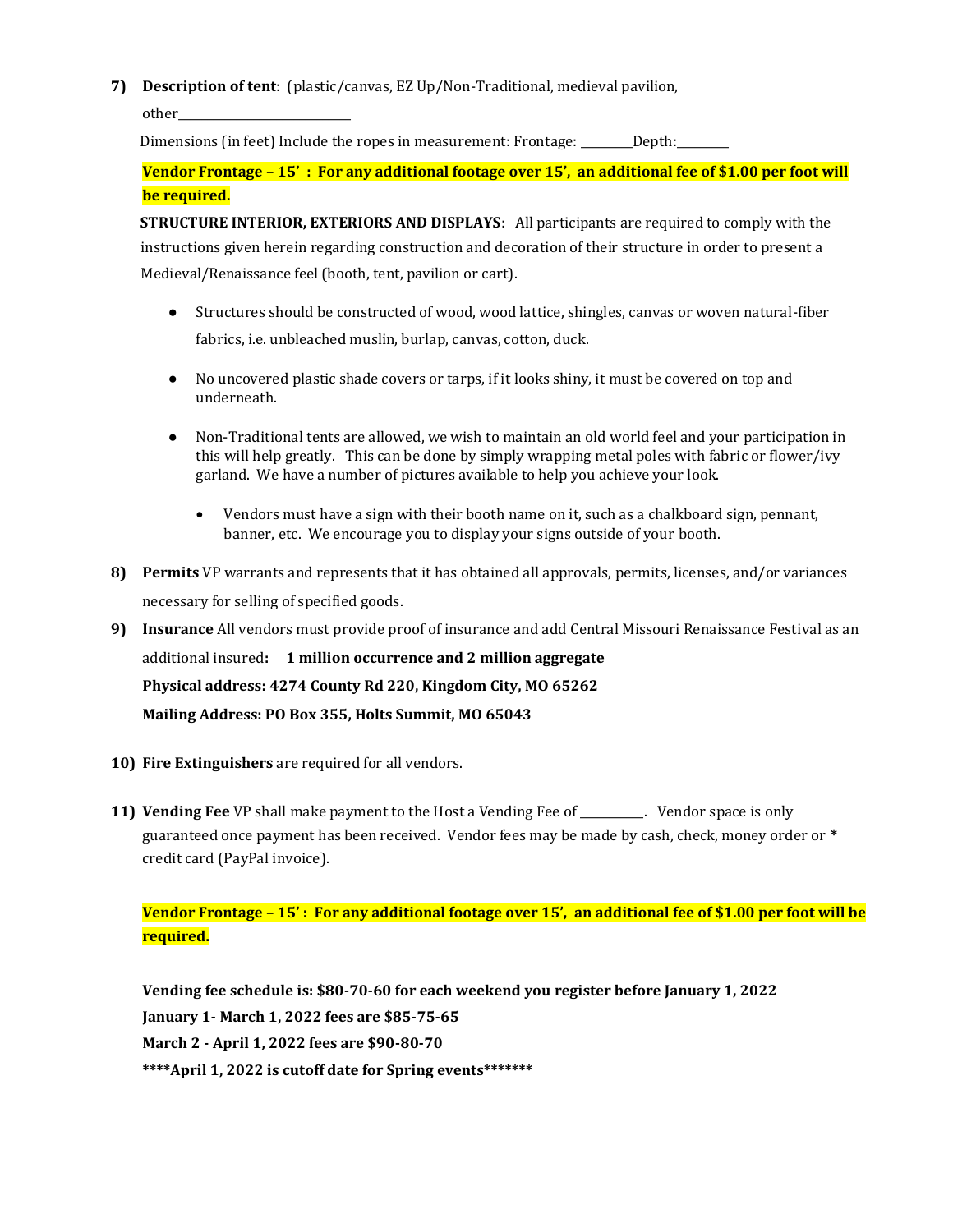**7) Description of tent**: (plastic/canvas, EZ Up/Non-Traditional, medieval pavilion,

other\_\_\_\_\_\_\_\_\_\_\_\_\_\_\_\_\_\_\_\_\_\_\_\_\_\_\_\_\_\_

Dimensions (in feet) Include the ropes in measurement: Frontage: \_\_\_\_\_\_Depth: \_\_\_\_\_\_

**Vendor Frontage – 15' : For any additional footage over 15', an additional fee of \$1.00 per foot will be required.** 

**STRUCTURE INTERIOR, EXTERIORS AND DISPLAYS**: All participants are required to comply with the instructions given herein regarding construction and decoration of their structure in order to present a Medieval/Renaissance feel (booth, tent, pavilion or cart).

- Structures should be constructed of wood, wood lattice, shingles, canvas or woven natural-fiber fabrics, i.e. unbleached muslin, burlap, canvas, cotton, duck.
- No uncovered plastic shade covers or tarps, if it looks shiny, it must be covered on top and underneath.
- Non-Traditional tents are allowed, we wish to maintain an old world feel and your participation in this will help greatly. This can be done by simply wrapping metal poles with fabric or flower/ivy garland. We have a number of pictures available to help you achieve your look.
	- Vendors must have a sign with their booth name on it, such as a chalkboard sign, pennant, banner, etc. We encourage you to display your signs outside of your booth.
- **8) Permits** VP warrants and represents that it has obtained all approvals, permits, licenses, and/or variances necessary for selling of specified goods.
- **9) Insurance** All vendors must provide proof of insurance and add Central Missouri Renaissance Festival as an additional insured**: 1 million occurrence and 2 million aggregate Physical address: 4274 County Rd 220, Kingdom City, MO 65262 Mailing Address: PO Box 355, Holts Summit, MO 65043**
- **10) Fire Extinguishers** are required for all vendors.
- **11) Vending Fee** VP shall make payment to the Host a Vending Fee of \_\_\_\_\_\_\_\_\_\_\_. Vendor space is only guaranteed once payment has been received. Vendor fees may be made by cash, check, money order or **\*** credit card (PayPal invoice).

## **Vendor Frontage – 15' : For any additional footage over 15', an additional fee of \$1.00 per foot will be required.**

**Vending fee schedule is: \$80-70-60 for each weekend you register before January 1, 2022 January 1- March 1, 2022 fees are \$85-75-65 March 2 - April 1, 2022 fees are \$90-80-70 \*\*\*\*April 1, 2022 is cutoff date for Spring events\*\*\*\*\*\*\***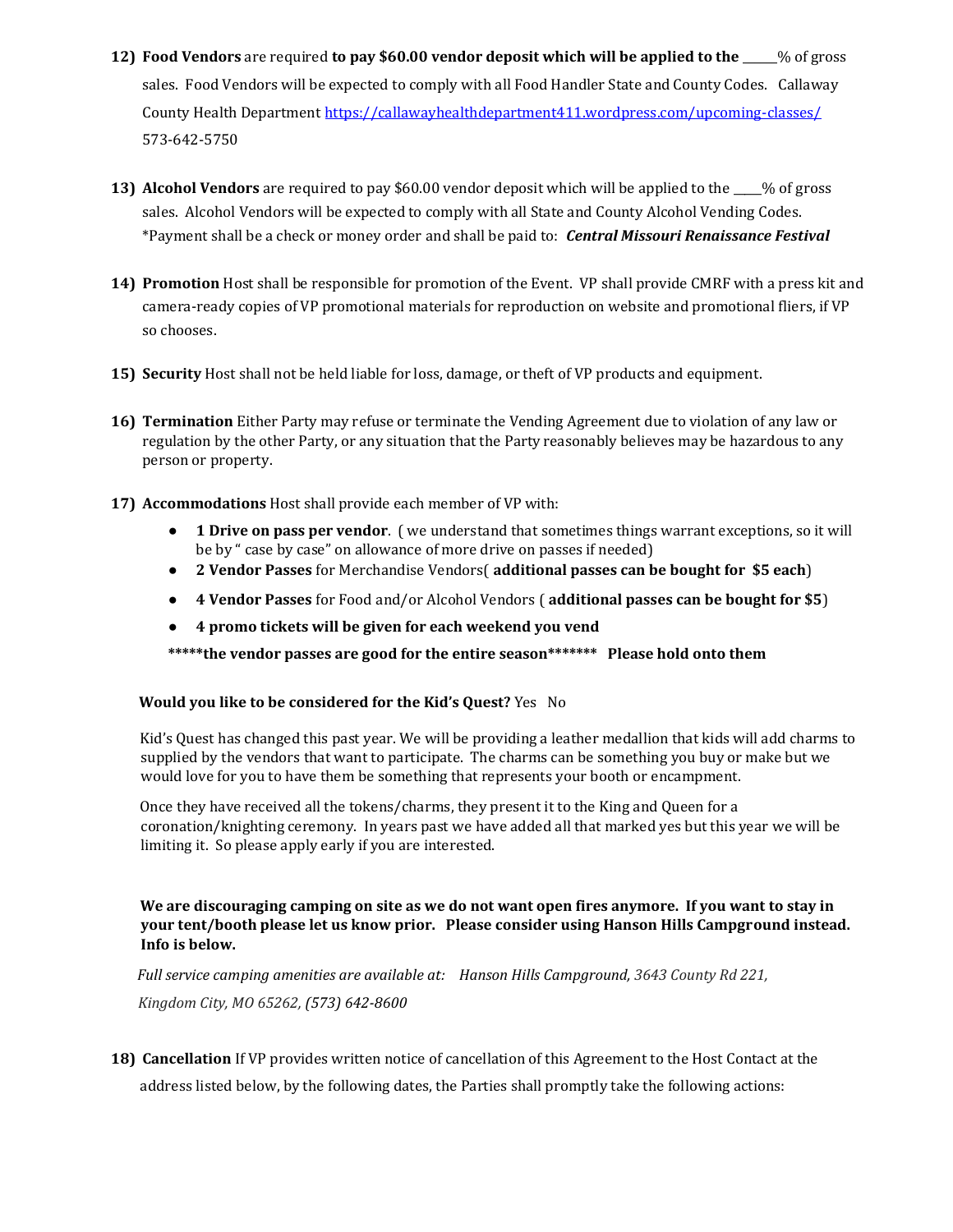- **12) Food Vendors** are required **to pay \$60.00 vendor deposit which will be applied to the** \_\_\_\_\_\_% of gross sales. Food Vendors will be expected to comply with all Food Handler State and County Codes. Callaway County Health Departmen[t https://callawayhealthdepartment411.wordpress.com/upcoming-classes/](https://callawayhealthdepartment411.wordpress.com/upcoming-classes/)  573-642-5750
- **13) Alcohol Vendors** are required to pay \$60.00 vendor deposit which will be applied to the \_\_\_\_\_% of gross sales. Alcohol Vendors will be expected to comply with all State and County Alcohol Vending Codes. \*Payment shall be a check or money order and shall be paid to: *Central Missouri Renaissance Festival*
- **14) Promotion** Host shall be responsible for promotion of the Event. VP shall provide CMRF with a press kit and camera-ready copies of VP promotional materials for reproduction on website and promotional fliers, if VP so chooses.
- **15) Security** Host shall not be held liable for loss, damage, or theft of VP products and equipment.
- **16) Termination** Either Party may refuse or terminate the Vending Agreement due to violation of any law or regulation by the other Party, or any situation that the Party reasonably believes may be hazardous to any person or property.
- **17) Accommodations** Host shall provide each member of VP with:
	- **1 Drive on pass per vendor**. ( we understand that sometimes things warrant exceptions, so it will be by " case by case" on allowance of more drive on passes if needed)
	- **2 Vendor Passes** for Merchandise Vendors( **additional passes can be bought for \$5 each**)
	- **4 Vendor Passes** for Food and/or Alcohol Vendors ( **additional passes can be bought for \$5**)
	- **4 promo tickets will be given for each weekend you vend**

**\*\*\*\*\*the vendor passes are good for the entire season\*\*\*\*\*\*\* Please hold onto them**

## **Would you like to be considered for the Kid's Quest?** Yes No

Kid's Quest has changed this past year. We will be providing a leather medallion that kids will add charms to supplied by the vendors that want to participate. The charms can be something you buy or make but we would love for you to have them be something that represents your booth or encampment.

Once they have received all the tokens/charms, they present it to the King and Queen for a coronation/knighting ceremony. In years past we have added all that marked yes but this year we will be limiting it. So please apply early if you are interested.

**We are discouraging camping on site as we do not want open fires anymore. If you want to stay in your tent/booth please let us know prior. Please consider using Hanson Hills Campground instead. Info is below.** 

*Full service camping amenities are available at: Hanson Hills Campground, 3643 County Rd 221, Kingdom City, MO 65262, (573) 642-8600*

**18) Cancellation** If VP provides written notice of cancellation of this Agreement to the Host Contact at the address listed below, by the following dates, the Parties shall promptly take the following actions: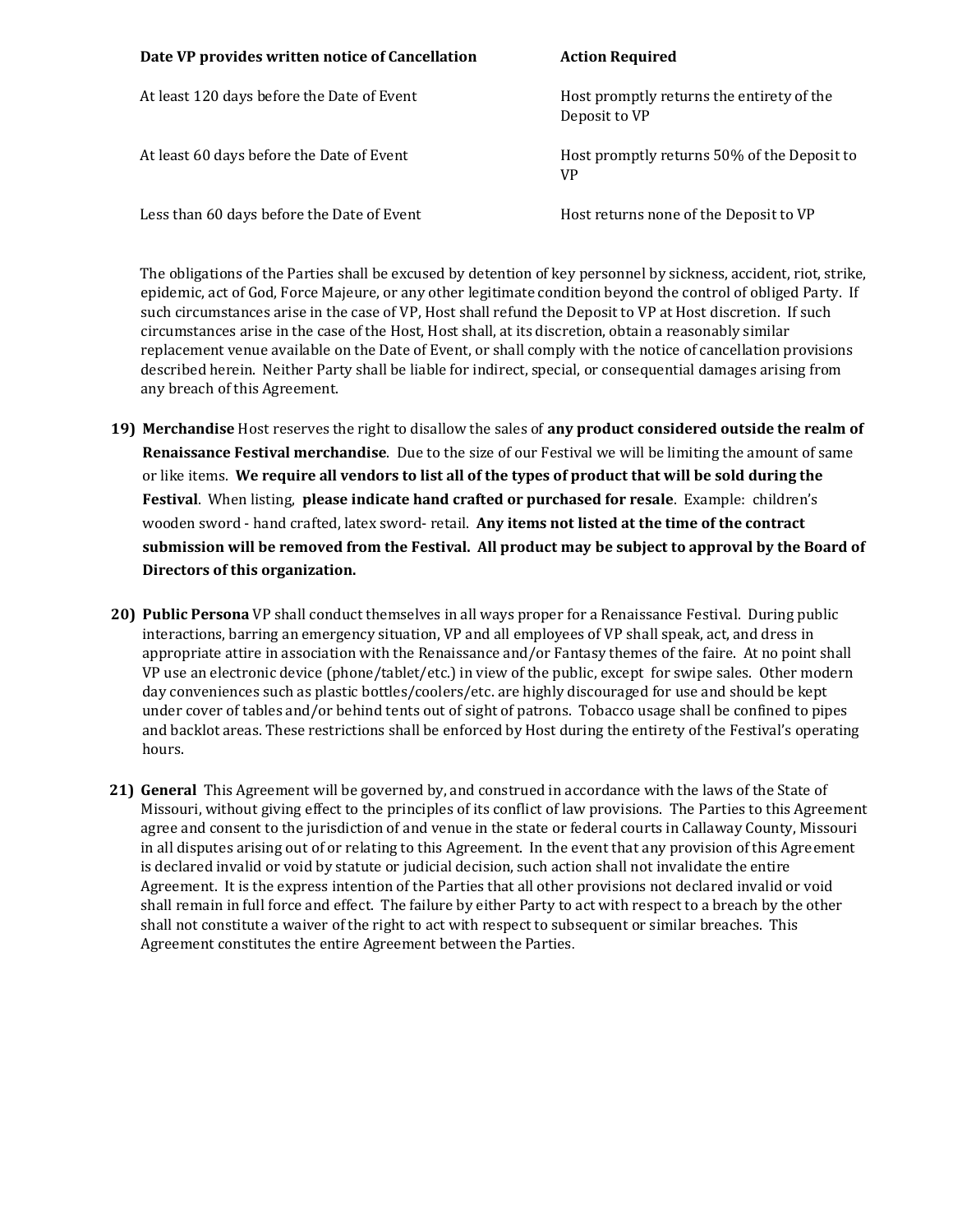| Date VP provides written notice of Cancellation | <b>Action Required</b>                                     |
|-------------------------------------------------|------------------------------------------------------------|
| At least 120 days before the Date of Event      | Host promptly returns the entirety of the<br>Deposit to VP |
| At least 60 days before the Date of Event       | Host promptly returns 50% of the Deposit to<br><b>VP</b>   |
| Less than 60 days before the Date of Event      | Host returns none of the Deposit to VP                     |

The obligations of the Parties shall be excused by detention of key personnel by sickness, accident, riot, strike, epidemic, act of God, Force Majeure, or any other legitimate condition beyond the control of obliged Party. If such circumstances arise in the case of VP, Host shall refund the Deposit to VP at Host discretion. If such circumstances arise in the case of the Host, Host shall, at its discretion, obtain a reasonably similar replacement venue available on the Date of Event, or shall comply with the notice of cancellation provisions described herein. Neither Party shall be liable for indirect, special, or consequential damages arising from any breach of this Agreement.

- **19) Merchandise** Host reserves the right to disallow the sales of **any product considered outside the realm of Renaissance Festival merchandise**. Due to the size of our Festival we will be limiting the amount of same or like items. **We require all vendors to list all of the types of product that will be sold during the Festival**. When listing, **please indicate hand crafted or purchased for resale**. Example: children's wooden sword - hand crafted, latex sword- retail. **Any items not listed at the time of the contract submission will be removed from the Festival. All product may be subject to approval by the Board of Directors of this organization.**
- **20) Public Persona** VP shall conduct themselves in all ways proper for a Renaissance Festival. During public interactions, barring an emergency situation, VP and all employees of VP shall speak, act, and dress in appropriate attire in association with the Renaissance and/or Fantasy themes of the faire. At no point shall VP use an electronic device (phone/tablet/etc.) in view of the public, except for swipe sales. Other modern day conveniences such as plastic bottles/coolers/etc. are highly discouraged for use and should be kept under cover of tables and/or behind tents out of sight of patrons. Tobacco usage shall be confined to pipes and backlot areas. These restrictions shall be enforced by Host during the entirety of the Festival's operating hours.
- **21) General** This Agreement will be governed by, and construed in accordance with the laws of the State of Missouri, without giving effect to the principles of its conflict of law provisions. The Parties to this Agreement agree and consent to the jurisdiction of and venue in the state or federal courts in Callaway County, Missouri in all disputes arising out of or relating to this Agreement. In the event that any provision of this Agreement is declared invalid or void by statute or judicial decision, such action shall not invalidate the entire Agreement. It is the express intention of the Parties that all other provisions not declared invalid or void shall remain in full force and effect. The failure by either Party to act with respect to a breach by the other shall not constitute a waiver of the right to act with respect to subsequent or similar breaches. This Agreement constitutes the entire Agreement between the Parties.